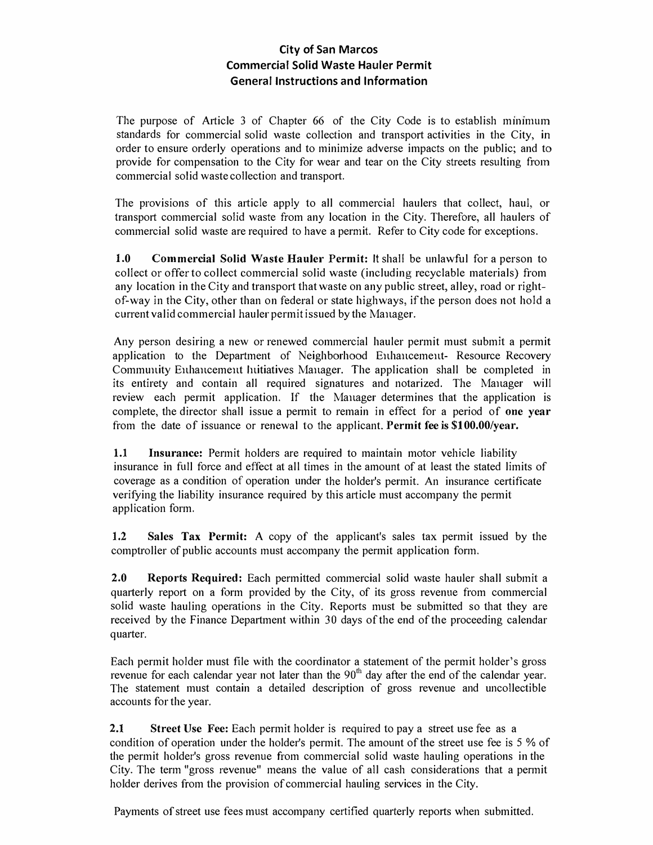## **City of San Marcos Commercial Solid Waste Hauler Permit General Instructions and Information**

The purpose of Article  $3$  of Chapter 66 of the City Code is to establish minimum standards for commercial solid waste collection and transport activities in the City, in order to ensure orderly operations and to minimize adverse impacts on the public; and to provide for compensation to the City for wear and tear on the City streets resulting from commercial solid waste collection and transport.

The provisions of this article apply to all commercial haulers that collect, haul, or transport commercial solid waste from any location in the City. Therefore, all haulers of commercial solid waste are required to have a permit. Refer to City code for exceptions.

**1.0 Commercial Solid Waste Hauler Permit:** It shall be unlawful for a person to collect or offer to collect commercial solid waste (including recyclable materials) from any location in the City and transport thatwaste on any public street, alley, road or rightof-way in the City, other than on federal or state highways, ifthe person does not hold a current valid commercial hauler permitissued by the Manager.

Any person desiring a new or renewed commercial hauler permit must submit a permit application to the Department of Neighborhood Enhancement- Resource Recovery Community Enhancement Initiatives Manager. The application shall be completed in its entirety and contain all required signatures and notarized. The Manager will review each permit application. If the Manager determines that the application is complete, the director shall issue a permit to remain in effect for a period of **one year**  from the date of issuance or renewal to the applicant. **Permit fee is \$100.00/year.** 

**1.1 Insurance:** Permit holders are required to maintain motor vehicle liability insurance in full force and effect at all times in the amount of at least the stated limits of coverage as a condition of operation under the holder's permit. An insurance certificate verifying the liability insurance required by this article must accompany the permit application form.

**1.2 Sales Tax Permit:** A copy of the applicant's sales tax permit issued by the comptroller of public accounts must accompany the permit application form.

**2.0 Reports Required:** Each permitted commercial solid waste hauler shall submit a quarterly report on a form provided by the City, of its gross revenue from commercial solid waste hauling operations in the City. Reports must be submitted so that they are received by the Finance Department within 30 days of the end of the proceeding calendar quarter.

Each permit holder must file with the coordinator a statement of the permit holder's gross revenue for each calendar year not later than the  $90<sup>th</sup>$  day after the end of the calendar year. The statement must contain a detailed description of gross revenue and uncollectible accounts for the year.

**2.1** Street Use Fee: Each permit holder is required to pay a street use fee as a condition of operation under the holder's permit. The amount of the street use fee is 5 % of the permit holder's gross revenue from commercial solid waste hauling operations in the City. The term "gross revenue" means the value of all cash considerations that a permit holder derives from the provision of commercial hauling services in the City.

Payments of street use fees must accompany certified quarterly reports when submitted.